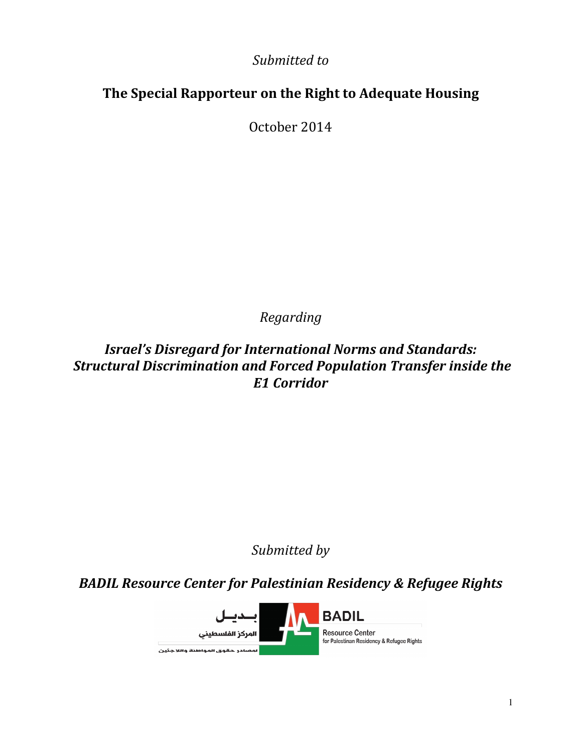Submitted to

# The Special Rapporteur on the Right to Adequate Housing

October 2014

Regarding

Israel's Disregard for International Norms and Standards: Structural Discrimination and Forced Population Transfer inside the E1 Corridor

Submitted by

BADIL Resource Center for Palestinian Residency & Refugee Rights

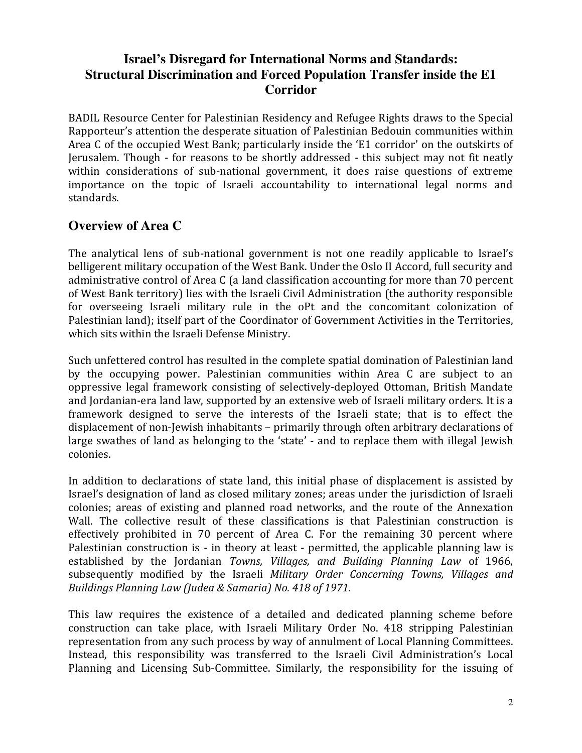## **Israel's Disregard for International Norms and Standards: Structural Discrimination and Forced Population Transfer inside the E1 Corridor**

BADIL Resource Center for Palestinian Residency and Refugee Rights draws to the Special Rapporteur's attention the desperate situation of Palestinian Bedouin communities within Area C of the occupied West Bank; particularly inside the 'E1 corridor' on the outskirts of Jerusalem. Though - for reasons to be shortly addressed - this subject may not fit neatly within considerations of sub-national government, it does raise questions of extreme importance on the topic of Israeli accountability to international legal norms and standards.

#### **Overview of Area C**

The analytical lens of sub-national government is not one readily applicable to Israel's belligerent military occupation of the West Bank. Under the Oslo II Accord, full security and administrative control of Area C (a land classification accounting for more than 70 percent of West Bank territory) lies with the Israeli Civil Administration (the authority responsible for overseeing Israeli military rule in the oPt and the concomitant colonization of Palestinian land); itself part of the Coordinator of Government Activities in the Territories, which sits within the Israeli Defense Ministry.

Such unfettered control has resulted in the complete spatial domination of Palestinian land by the occupying power. Palestinian communities within Area C are subject to an oppressive legal framework consisting of selectively-deployed Ottoman, British Mandate and Jordanian-era land law, supported by an extensive web of Israeli military orders. It is a framework designed to serve the interests of the Israeli state; that is to effect the displacement of non-Jewish inhabitants – primarily through often arbitrary declarations of large swathes of land as belonging to the 'state' - and to replace them with illegal Jewish colonies.

In addition to declarations of state land, this initial phase of displacement is assisted by Israel's designation of land as closed military zones; areas under the jurisdiction of Israeli colonies; areas of existing and planned road networks, and the route of the Annexation Wall. The collective result of these classifications is that Palestinian construction is effectively prohibited in 70 percent of Area C. For the remaining 30 percent where Palestinian construction is - in theory at least - permitted, the applicable planning law is established by the Jordanian Towns, Villages, and Building Planning Law of 1966, subsequently modified by the Israeli Military Order Concerning Towns, Villages and Buildings Planning Law (Judea & Samaria) No. 418 of 1971.

This law requires the existence of a detailed and dedicated planning scheme before construction can take place, with Israeli Military Order No. 418 stripping Palestinian representation from any such process by way of annulment of Local Planning Committees. Instead, this responsibility was transferred to the Israeli Civil Administration's Local Planning and Licensing Sub-Committee. Similarly, the responsibility for the issuing of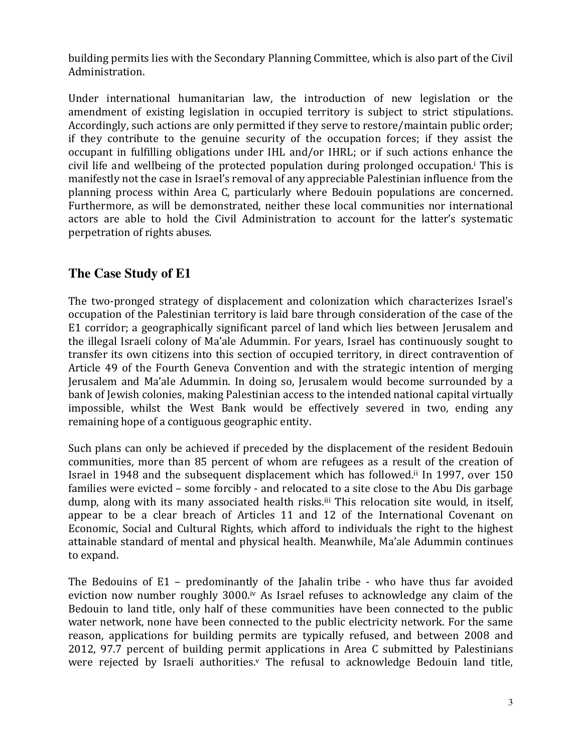building permits lies with the Secondary Planning Committee, which is also part of the Civil Administration.

Under international humanitarian law, the introduction of new legislation or the amendment of existing legislation in occupied territory is subject to strict stipulations. Accordingly, such actions are only permitted if they serve to restore/maintain public order; if they contribute to the genuine security of the occupation forces; if they assist the occupant in fulfilling obligations under IHL and/or IHRL; or if such actions enhance the civil life and wellbeing of the protected population during prolonged occupation.<sup>i</sup> This is manifestly not the case in Israel's removal of any appreciable Palestinian influence from the planning process within Area C, particularly where Bedouin populations are concerned. Furthermore, as will be demonstrated, neither these local communities nor international actors are able to hold the Civil Administration to account for the latter's systematic perpetration of rights abuses.

## **The Case Study of E1**

The two-pronged strategy of displacement and colonization which characterizes Israel's occupation of the Palestinian territory is laid bare through consideration of the case of the E1 corridor; a geographically significant parcel of land which lies between Jerusalem and the illegal Israeli colony of Ma'ale Adummin. For years, Israel has continuously sought to transfer its own citizens into this section of occupied territory, in direct contravention of Article 49 of the Fourth Geneva Convention and with the strategic intention of merging Jerusalem and Ma'ale Adummin. In doing so, Jerusalem would become surrounded by a bank of Jewish colonies, making Palestinian access to the intended national capital virtually impossible, whilst the West Bank would be effectively severed in two, ending any remaining hope of a contiguous geographic entity.

Such plans can only be achieved if preceded by the displacement of the resident Bedouin communities, more than 85 percent of whom are refugees as a result of the creation of Israel in 1948 and the subsequent displacement which has followed.ii In 1997, over 150 families were evicted – some forcibly - and relocated to a site close to the Abu Dis garbage dump, along with its many associated health risks.iii This relocation site would, in itself, appear to be a clear breach of Articles 11 and 12 of the International Covenant on Economic, Social and Cultural Rights, which afford to individuals the right to the highest attainable standard of mental and physical health. Meanwhile, Ma'ale Adummin continues to expand.

The Bedouins of E1 – predominantly of the Jahalin tribe - who have thus far avoided eviction now number roughly 3000.iv As Israel refuses to acknowledge any claim of the Bedouin to land title, only half of these communities have been connected to the public water network, none have been connected to the public electricity network. For the same reason, applications for building permits are typically refused, and between 2008 and 2012, 97.7 percent of building permit applications in Area C submitted by Palestinians were rejected by Israeli authorities.<sup>v</sup> The refusal to acknowledge Bedouin land title,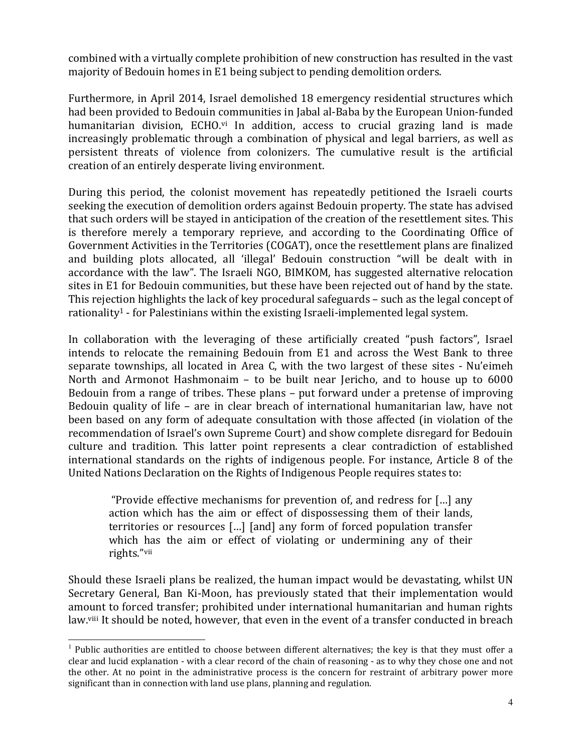combined with a virtually complete prohibition of new construction has resulted in the vast majority of Bedouin homes in E1 being subject to pending demolition orders.

Furthermore, in April 2014, Israel demolished 18 emergency residential structures which had been provided to Bedouin communities in Jabal al-Baba by the European Union-funded humanitarian division, ECHO.vi In addition, access to crucial grazing land is made increasingly problematic through a combination of physical and legal barriers, as well as persistent threats of violence from colonizers. The cumulative result is the artificial creation of an entirely desperate living environment.

During this period, the colonist movement has repeatedly petitioned the Israeli courts seeking the execution of demolition orders against Bedouin property. The state has advised that such orders will be stayed in anticipation of the creation of the resettlement sites. This is therefore merely a temporary reprieve, and according to the Coordinating Office of Government Activities in the Territories (COGAT), once the resettlement plans are finalized and building plots allocated, all 'illegal' Bedouin construction "will be dealt with in accordance with the law". The Israeli NGO, BIMKOM, has suggested alternative relocation sites in E1 for Bedouin communities, but these have been rejected out of hand by the state. This rejection highlights the lack of key procedural safeguards – such as the legal concept of rationality1 - for Palestinians within the existing Israeli-implemented legal system.

In collaboration with the leveraging of these artificially created "push factors", Israel intends to relocate the remaining Bedouin from E1 and across the West Bank to three separate townships, all located in Area C, with the two largest of these sites - Nu'eimeh North and Armonot Hashmonaim – to be built near Jericho, and to house up to 6000 Bedouin from a range of tribes. These plans – put forward under a pretense of improving Bedouin quality of life – are in clear breach of international humanitarian law, have not been based on any form of adequate consultation with those affected (in violation of the recommendation of Israel's own Supreme Court) and show complete disregard for Bedouin culture and tradition. This latter point represents a clear contradiction of established international standards on the rights of indigenous people. For instance, Article 8 of the United Nations Declaration on the Rights of Indigenous People requires states to:

 "Provide effective mechanisms for prevention of, and redress for […] any action which has the aim or effect of dispossessing them of their lands, territories or resources […] [and] any form of forced population transfer which has the aim or effect of violating or undermining any of their rights."vii

Should these Israeli plans be realized, the human impact would be devastating, whilst UN Secretary General, Ban Ki-Moon, has previously stated that their implementation would amount to forced transfer; prohibited under international humanitarian and human rights law.<sup>viii</sup> It should be noted, however, that even in the event of a transfer conducted in breach

֦

 $1$  Public authorities are entitled to choose between different alternatives; the key is that they must offer a clear and lucid explanation - with a clear record of the chain of reasoning - as to why they chose one and not the other. At no point in the administrative process is the concern for restraint of arbitrary power more significant than in connection with land use plans, planning and regulation.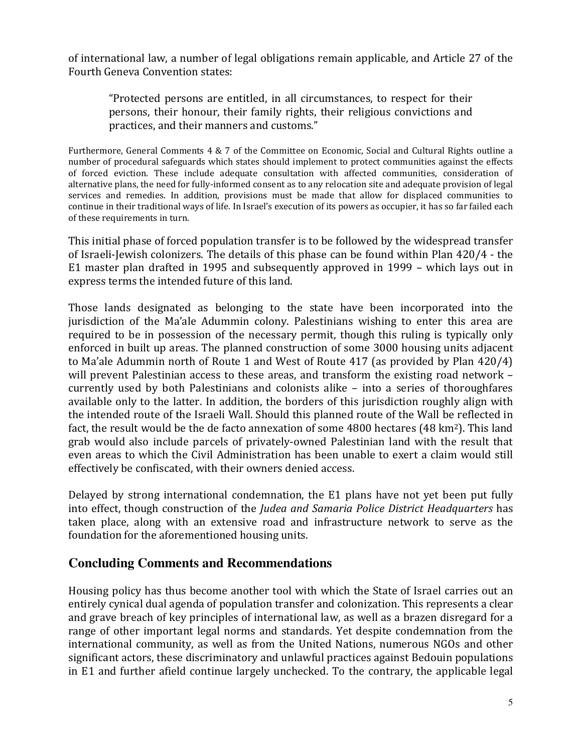of international law, a number of legal obligations remain applicable, and Article 27 of the Fourth Geneva Convention states:

"Protected persons are entitled, in all circumstances, to respect for their persons, their honour, their family rights, their religious convictions and practices, and their manners and customs."

Furthermore, General Comments 4 & 7 of the Committee on Economic, Social and Cultural Rights outline a number of procedural safeguards which states should implement to protect communities against the effects of forced eviction. These include adequate consultation with affected communities, consideration of alternative plans, the need for fully-informed consent as to any relocation site and adequate provision of legal services and remedies. In addition, provisions must be made that allow for displaced communities to continue in their traditional ways of life. In Israel's execution of its powers as occupier, it has so far failed each of these requirements in turn.

This initial phase of forced population transfer is to be followed by the widespread transfer of Israeli-Jewish colonizers. The details of this phase can be found within Plan 420/4 - the E1 master plan drafted in 1995 and subsequently approved in 1999 – which lays out in express terms the intended future of this land.

Those lands designated as belonging to the state have been incorporated into the jurisdiction of the Ma'ale Adummin colony. Palestinians wishing to enter this area are required to be in possession of the necessary permit, though this ruling is typically only enforced in built up areas. The planned construction of some 3000 housing units adjacent to Ma'ale Adummin north of Route 1 and West of Route 417 (as provided by Plan 420/4) will prevent Palestinian access to these areas, and transform the existing road network – currently used by both Palestinians and colonists alike – into a series of thoroughfares available only to the latter. In addition, the borders of this jurisdiction roughly align with the intended route of the Israeli Wall. Should this planned route of the Wall be reflected in fact, the result would be the de facto annexation of some 4800 hectares (48 km<sup>2</sup>). This land grab would also include parcels of privately-owned Palestinian land with the result that even areas to which the Civil Administration has been unable to exert a claim would still effectively be confiscated, with their owners denied access.

Delayed by strong international condemnation, the E1 plans have not yet been put fully into effect, though construction of the Judea and Samaria Police District Headquarters has taken place, along with an extensive road and infrastructure network to serve as the foundation for the aforementioned housing units.

#### **Concluding Comments and Recommendations**

Housing policy has thus become another tool with which the State of Israel carries out an entirely cynical dual agenda of population transfer and colonization. This represents a clear and grave breach of key principles of international law, as well as a brazen disregard for a range of other important legal norms and standards. Yet despite condemnation from the international community, as well as from the United Nations, numerous NGOs and other significant actors, these discriminatory and unlawful practices against Bedouin populations in E1 and further afield continue largely unchecked. To the contrary, the applicable legal